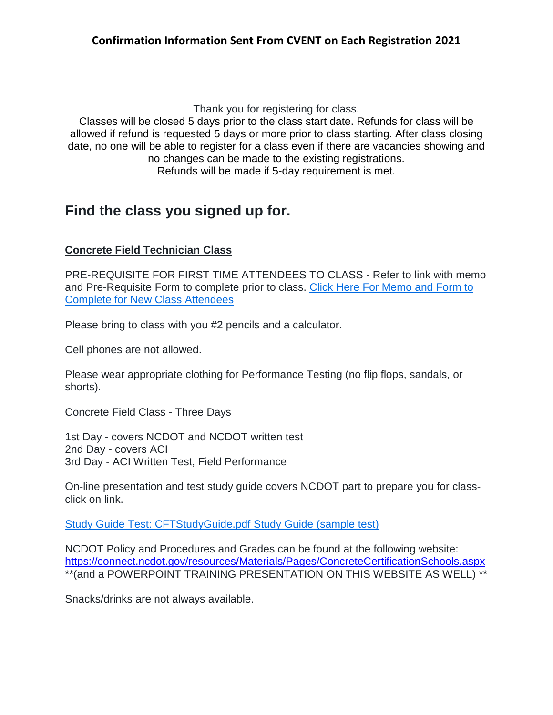Thank you for registering for class.

Classes will be closed 5 days prior to the class start date. Refunds for class will be allowed if refund is requested 5 days or more prior to class starting. After class closing date, no one will be able to register for a class even if there are vacancies showing and no changes can be made to the existing registrations. Refunds will be made if 5-day requirement is met.

# **Find the class you signed up for.**

## **Concrete Field Technician Class**

PRE-REQUISITE FOR FIRST TIME ATTENDEES TO CLASS - Refer to link with memo and Pre-Requisite Form to complete prior to class. Click Here For [Memo](https://connect.ncdot.gov/resources/Materials/Materials/Concrete%20Field%20Technician%20Certification%20PRE-REQUISITE%20MEMO%20and%20FORM%20For%20New%20Attendees%20Attached.pdf) and Form to Complete for New Class [Attendees](https://connect.ncdot.gov/resources/Materials/Materials/Concrete%20Field%20Technician%20Certification%20PRE-REQUISITE%20MEMO%20and%20FORM%20For%20New%20Attendees%20Attached.pdf)

Please bring to class with you #2 pencils and a calculator.

Cell phones are not allowed.

Please wear appropriate clothing for Performance Testing (no flip flops, sandals, or shorts).

Concrete Field Class - Three Days

1st Day - covers NCDOT and NCDOT written test 2nd Day - covers ACI 3rd Day - ACI Written Test, Field Performance

On-line presentation and test study guide covers NCDOT part to prepare you for classclick on link.

Study Guide Test: [CFTStudyGuide.pdf](https://connect.ncdot.gov/resources/Materials/Materials/Concrete%20Field%20Technician%20Study%20Guide.pdf) Study Guide (sample test)

NCDOT Policy and Procedures and Grades can be found at the following website: <https://connect.ncdot.gov/resources/Materials/Pages/ConcreteCertificationSchools.aspx> \*\*(and a POWERPOINT TRAINING PRESENTATION ON THIS WEBSITE AS WELL) \*\*

Snacks/drinks are not always available.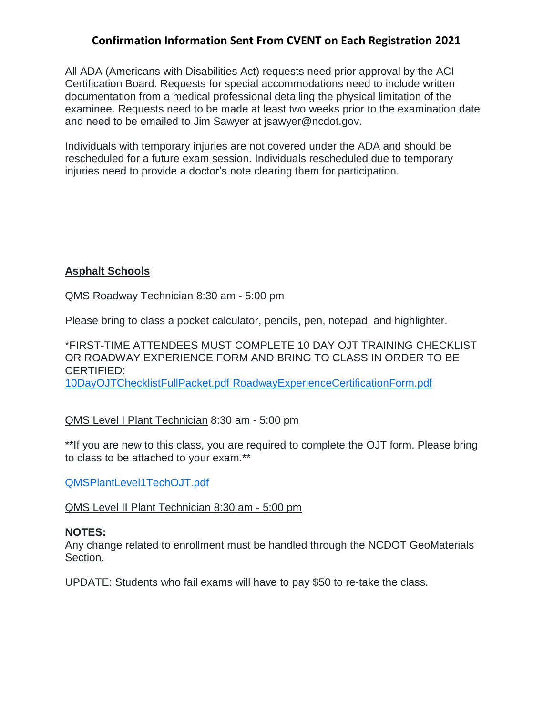## **Confirmation Information Sent From CVENT on Each Registration 2021**

All ADA (Americans with Disabilities Act) requests need prior approval by the ACI Certification Board. Requests for special accommodations need to include written documentation from a medical professional detailing the physical limitation of the examinee. Requests need to be made at least two weeks prior to the examination date and need to be emailed to Jim Sawyer at jsawyer@ncdot.gov.

Individuals with temporary injuries are not covered under the ADA and should be rescheduled for a future exam session. Individuals rescheduled due to temporary injuries need to provide a doctor's note clearing them for participation.

## **Asphalt Schools**

QMS Roadway Technician 8:30 am - 5:00 pm

Please bring to class a pocket calculator, pencils, pen, notepad, and highlighter.

\*FIRST-TIME ATTENDEES MUST COMPLETE 10 DAY OJT TRAINING CHECKLIST OR ROADWAY EXPERIENCE FORM AND BRING TO CLASS IN ORDER TO BE CERTIFIED: [10DayOJTChecklistFullPacket.pdf](https://connect.ncdot.gov/resources/Materials/Materials/10%20Day%20OJT%20Checklist%20Full%20Packet.pdf) [RoadwayExperienceCertificationForm.pdf](https://connect.ncdot.gov/resources/Materials/Materials/Roadway%20Experience%20Certification%20Form.pdf)

#### QMS Level I Plant Technician 8:30 am - 5:00 pm

\*\*If you are new to this class, you are required to complete the OJT form. Please bring to class to be attached to your exam.\*\*

[QMSPlantLevel1TechOJT.pdf](https://connect.ncdot.gov/resources/Materials/Materials/QMS%20Plant%20Level%201%20Tech%20OJT%20Full%20Packet.pdf)

#### QMS Level II Plant Technician 8:30 am - 5:00 pm

#### **NOTES:**

Any change related to enrollment must be handled through the NCDOT GeoMaterials Section.

UPDATE: Students who fail exams will have to pay \$50 to re-take the class.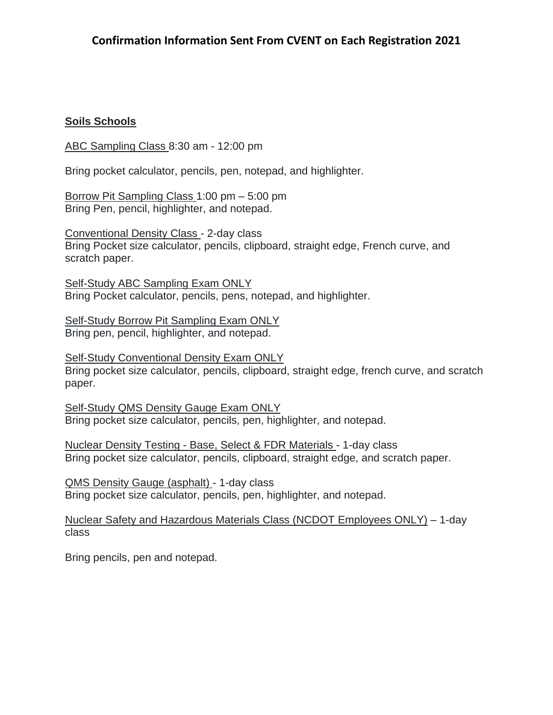## **Soils Schools**

ABC Sampling Class 8:30 am - 12:00 pm

Bring pocket calculator, pencils, pen, notepad, and highlighter.

Borrow Pit Sampling Class 1:00 pm – 5:00 pm Bring Pen, pencil, highlighter, and notepad.

Conventional Density Class - 2-day class Bring Pocket size calculator, pencils, clipboard, straight edge, French curve, and scratch paper.

Self-Study ABC Sampling Exam ONLY Bring Pocket calculator, pencils, pens, notepad, and highlighter.

Self-Study Borrow Pit Sampling Exam ONLY Bring pen, pencil, highlighter, and notepad.

Self-Study Conventional Density Exam ONLY Bring pocket size calculator, pencils, clipboard, straight edge, french curve, and scratch paper.

Self-Study QMS Density Gauge Exam ONLY Bring pocket size calculator, pencils, pen, highlighter, and notepad.

Nuclear Density Testing - Base, Select & FDR Materials - 1-day class Bring pocket size calculator, pencils, clipboard, straight edge, and scratch paper.

QMS Density Gauge (asphalt) - 1-day class Bring pocket size calculator, pencils, pen, highlighter, and notepad.

Nuclear Safety and Hazardous Materials Class (NCDOT Employees ONLY) – 1-day class

Bring pencils, pen and notepad.